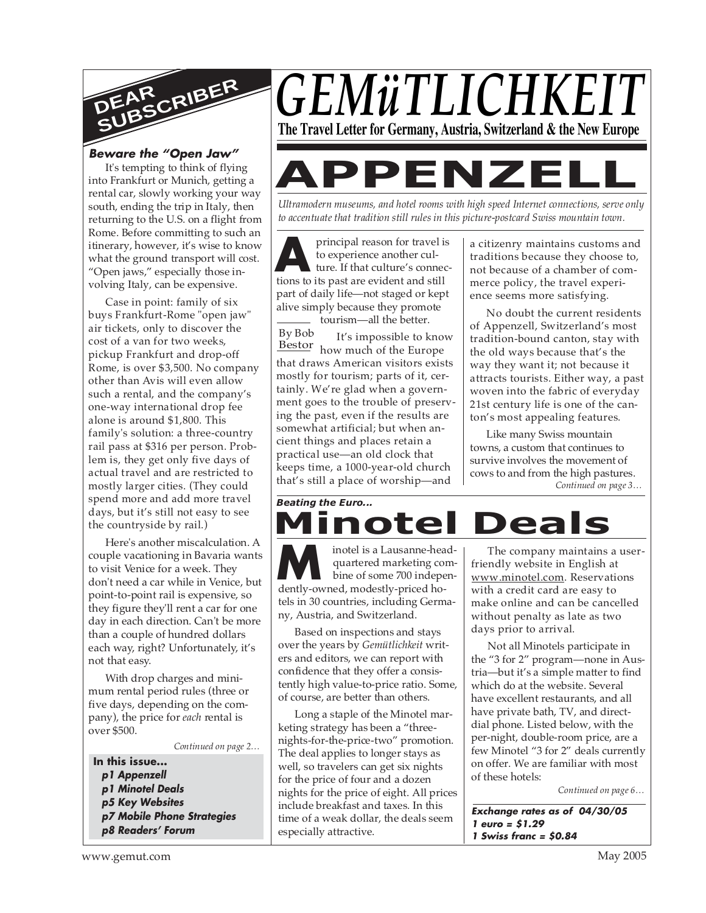

#### **Beware the "Open Jaw"**

It's tempting to think of flying into Frankfurt or Munich, getting a rental car, slowly working your way south, ending the trip in Italy, then returning to the U.S. on a flight from Rome. Before committing to such an itinerary, however, it's wise to know what the ground transport will cost. "Open jaws," especially those involving Italy, can be expensive.

Case in point: family of six buys Frankfurt-Rome "open jaw" air tickets, only to discover the cost of a van for two weeks, pickup Frankfurt and drop-off Rome, is over \$3,500. No company other than Avis will even allow such a rental, and the company's one-way international drop fee alone is around \$1,800. This family's solution: a three-country rail pass at \$316 per person. Problem is, they get only five days of actual travel and are restricted to mostly larger cities. (They could spend more and add more travel days, but it's still not easy to see the countryside by rail.)

Here's another miscalculation. A couple vacationing in Bavaria wants to visit Venice for a week. They don't need a car while in Venice, but point-to-point rail is expensive, so they figure they'll rent a car for one day in each direction. Can't be more than a couple of hundred dollars each way, right? Unfortunately, it's not that easy.

With drop charges and minimum rental period rules (three or five days, depending on the company), the price for *each* rental is over \$500.

*Continued on page 2…*

**In this issue... p1 Appenzell p1 Minotel Deals p5 Key Websites p7 Mobile Phone Strategies p8 Readers' Forum**





# **APPENZEL**

*Ultramodern museums, and hotel rooms with high speed Internet connections, serve only to accentuate that tradition still rules in this picture-postcard Swiss mountain town.*

principal reason for travel is<br>to experience another culture. If that culture's connections to its past are evident and still principal reason for travel is to experience another culture. If that culture's connecpart of daily life—not staged or kept alive simply because they promote tourism—all the better.

It's impossible to know Bestor how much of the Europe that draws American visitors exists mostly for tourism; parts of it, certainly. We're glad when a government goes to the trouble of preserving the past, even if the results are somewhat artificial; but when ancient things and places retain a practical use—an old clock that keeps time, a 1000-year-old church that's still a place of worship—and By Bob

a citizenry maintains customs and traditions because they choose to, not because of a chamber of commerce policy, the travel experience seems more satisfying.

No doubt the current residents of Appenzell, Switzerland's most tradition-bound canton, stay with the old ways because that's the way they want it; not because it attracts tourists. Either way, a past woven into the fabric of everyday 21st century life is one of the canton's most appealing features.

*Continued on page 3…* Like many Swiss mountain towns, a custom that continues to survive involves the movement of cows to and from the high pastures.

### *Beating the Euro...* **Iinotel Deal**

motel is a Lausanne-hea<br>
quartered marketing cor<br>
dently-owned, modestly-priced hoinotel is a Lausanne-headquartered marketing combine of some 700 indepentels in 30 countries, including Germany, Austria, and Switzerland.

Based on inspections and stays over the years by *Gemütlichkeit* writers and editors, we can report with confidence that they offer a consistently high value-to-price ratio. Some, of course, are better than others.

Long a staple of the Minotel marketing strategy has been a "threenights-for-the-price-two" promotion. The deal applies to longer stays as well, so travelers can get six nights for the price of four and a dozen nights for the price of eight. All prices include breakfast and taxes. In this time of a weak dollar, the deals seem especially attractive.

The company maintains a userfriendly website in English at www.minotel.com. Reservations with a credit card are easy to make online and can be cancelled without penalty as late as two days prior to arrival.

Not all Minotels participate in the "3 for 2" program—none in Austria—but it's a simple matter to find which do at the website. Several have excellent restaurants, and all have private bath, TV, and directdial phone. Listed below, with the per-night, double-room price, are a few Minotel "3 for 2" deals currently on offer. We are familiar with most of these hotels:

*Continued on page 6…*

**Exchange rates as of 04/30/05 1 euro = \$1.29 1 Swiss franc = \$0.84**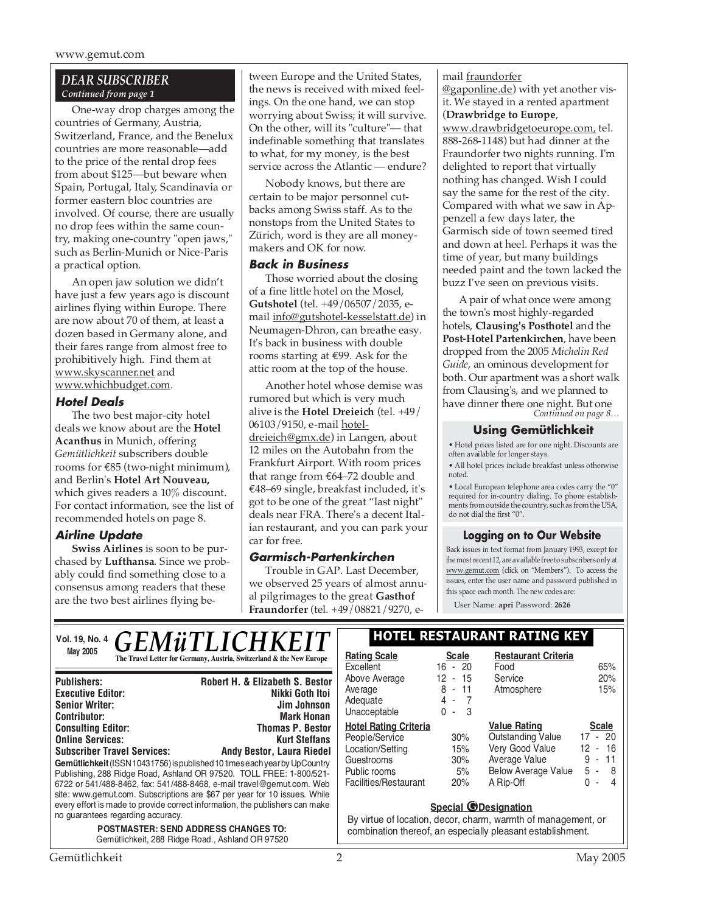#### *DEAR SUBSCRIBER Continued from page 1*

One-way drop charges among the countries of Germany, Austria, Switzerland, France, and the Benelux countries are more reasonable—add to the price of the rental drop fees from about \$125—but beware when Spain, Portugal, Italy, Scandinavia or former eastern bloc countries are involved. Of course, there are usually no drop fees within the same country, making one-country "open jaws," such as Berlin-Munich or Nice-Paris a practical option.

An open jaw solution we didn't have just a few years ago is discount airlines flying within Europe. There are now about 70 of them, at least a dozen based in Germany alone, and their fares range from almost free to prohibitively high. Find them at www.skyscanner.net and www.whichbudget.com.

#### **Hotel Deals**

The two best major-city hotel deals we know about are the **Hotel Acanthus** in Munich, offering *Gemütlichkeit* subscribers double rooms for €85 (two-night minimum), and Berlin's **Hotel Art Nouveau,** which gives readers a 10% discount. For contact information, see the list of recommended hotels on page 8.

#### **Airline Update**

**Swiss Airlines** is soon to be purchased by **Lufthansa**. Since we probably could find something close to a consensus among readers that these are the two best airlines flying between Europe and the United States, the news is received with mixed feelings. On the one hand, we can stop worrying about Swiss; it will survive. On the other, will its "culture"— that indefinable something that translates to what, for my money, is the best service across the Atlantic — endure?

Nobody knows, but there are certain to be major personnel cutbacks among Swiss staff. As to the nonstops from the United States to Zürich, word is they are all moneymakers and OK for now.

#### **Back in Business**

Those worried about the closing of a fine little hotel on the Mosel, **Gutshotel** (tel. +49/06507/2035, email info@gutshotel-kesselstatt.de) in Neumagen-Dhron, can breathe easy. It's back in business with double rooms starting at €99. Ask for the attic room at the top of the house.

Another hotel whose demise was rumored but which is very much alive is the **Hotel Dreieich** (tel. +49/ 06103/9150, e-mail hoteldreieich@gmx.de) in Langen, about 12 miles on the Autobahn from the Frankfurt Airport. With room prices that range from €64–72 double and €48–69 single, breakfast included, it's got to be one of the great "last night" deals near FRA. There's a decent Italian restaurant, and you can park your car for free.

#### **Garmisch-Partenkirchen**

Trouble in GAP. Last December, we observed 25 years of almost annual pilgrimages to the great **Gasthof Fraundorfer** (tel. +49/08821/9270, email fraundorfer @gaponline.de) with yet another visit. We stayed in a rented apartment (**Drawbridge to Europe**,

www.drawbridgetoeurope.com, tel. 888-268-1148) but had dinner at the Fraundorfer two nights running. I'm delighted to report that virtually nothing has changed. Wish I could say the same for the rest of the city. Compared with what we saw in Appenzell a few days later, the Garmisch side of town seemed tired and down at heel. Perhaps it was the time of year, but many buildings needed paint and the town lacked the buzz I've seen on previous visits.

*Continued on page 8…* A pair of what once were among the town's most highly-regarded hotels, **Clausing's Posthotel** and the **Post-Hotel Partenkirchen**, have been dropped from the 2005 *Michelin Red Guide*, an ominous development for both. Our apartment was a short walk from Clausing's, and we planned to have dinner there one night. But one

#### **Using Gemütlichkeit**

• Hotel prices listed are for one night. Discounts are often available for longer stays.

• All hotel prices include breakfast unless otherwise noted.

• Local European telephone area codes carry the "0" required for in-country dialing. To phone establishments from outside the country, such as from the USA, do not dial the first "0".

#### **Logging on to Our Website**

Back issues in text format from January 1993, except for the most recent 12, are available free to subscribers only at www.gemut.com (click on "Members"). To access the issues, enter the user name and password published in this space each month. The new codes are:

User Name: **apri** Password: **2626**

#### Vol. 19, No. 4 **C E M i TI I C H V E I T** | HOTEL RESTAURANT RATING KEY May 2005<br> **The Travel Letter for Germany, Austria, Switzerland & the New Europe** | **Rating Scale** Scale *GEMüTLICHKEIT*

| <b>Publishers:</b>                                                                                                                                                                                                                                                                                                                                                                                                           | <b>Robert H. &amp; Elizabeth S. Bestor</b> |  |  |
|------------------------------------------------------------------------------------------------------------------------------------------------------------------------------------------------------------------------------------------------------------------------------------------------------------------------------------------------------------------------------------------------------------------------------|--------------------------------------------|--|--|
| <b>Executive Editor:</b>                                                                                                                                                                                                                                                                                                                                                                                                     | Nikki Goth Itoi                            |  |  |
| <b>Senior Writer:</b>                                                                                                                                                                                                                                                                                                                                                                                                        | Jim Johnson                                |  |  |
| <b>Contributor:</b>                                                                                                                                                                                                                                                                                                                                                                                                          | <b>Mark Honan</b>                          |  |  |
| <b>Consulting Editor:</b>                                                                                                                                                                                                                                                                                                                                                                                                    | <b>Thomas P. Bestor</b>                    |  |  |
| <b>Online Services:</b>                                                                                                                                                                                                                                                                                                                                                                                                      | <b>Kurt Steffans</b>                       |  |  |
| <b>Subscriber Travel Services:</b>                                                                                                                                                                                                                                                                                                                                                                                           | Andy Bestor, Laura Riedel                  |  |  |
| Gemütlichkeit (ISSN 10431756) is published 10 times each year by UpCountry<br>Publishing, 288 Ridge Road, Ashland OR 97520. TOLL FREE: 1-800/521-<br>6722 or 541/488-8462, fax: 541/488-8468, e-mail travel@gemut.com. Web<br>site: www.gemut.com. Subscriptions are \$67 per year for 10 issues. While<br>every effort is made to provide correct information, the publishers can make<br>no quarantees regarding accuracy. |                                            |  |  |
| <b>POSTMASTER: SEND ADDRESS CHANGES TO:</b><br>Gemütlichkeit, 288 Ridge Road., Ashland OR 97520                                                                                                                                                                                                                                                                                                                              |                                            |  |  |

|                                                                                                                           |                                                              | HOTEL RESTAURANT RATING KEY                                                                                                    |                                                                 |
|---------------------------------------------------------------------------------------------------------------------------|--------------------------------------------------------------|--------------------------------------------------------------------------------------------------------------------------------|-----------------------------------------------------------------|
| <b>Rating Scale</b><br>Excellent<br>Above Average<br>Average<br>Adequate<br>Unacceptable                                  | <b>Scale</b><br>$16 - 20$<br>$12 - 15$<br>8 - 11<br>4 -<br>3 | <b>Restaurant Criteria</b><br>Food<br>Service<br>Atmosphere                                                                    | 65%<br>20%<br>15%                                               |
| <b>Hotel Rating Criteria</b><br>People/Service<br>Location/Setting<br>Guestrooms<br>Public rooms<br>Facilities/Restaurant | 30%<br>15%<br>30%<br>5%<br>20%                               | <b>Value Rating</b><br><b>Outstanding Value</b><br>Very Good Value<br>Average Value<br><b>Below Average Value</b><br>A Rip-Off | <b>Scale</b><br>$17 - 20$<br>12 - 16<br>$-11$<br>9<br>5 -<br>-8 |

#### **Special @Designation**

By virtue of location, decor, charm, warmth of management, or combination thereof, an especially pleasant establishment.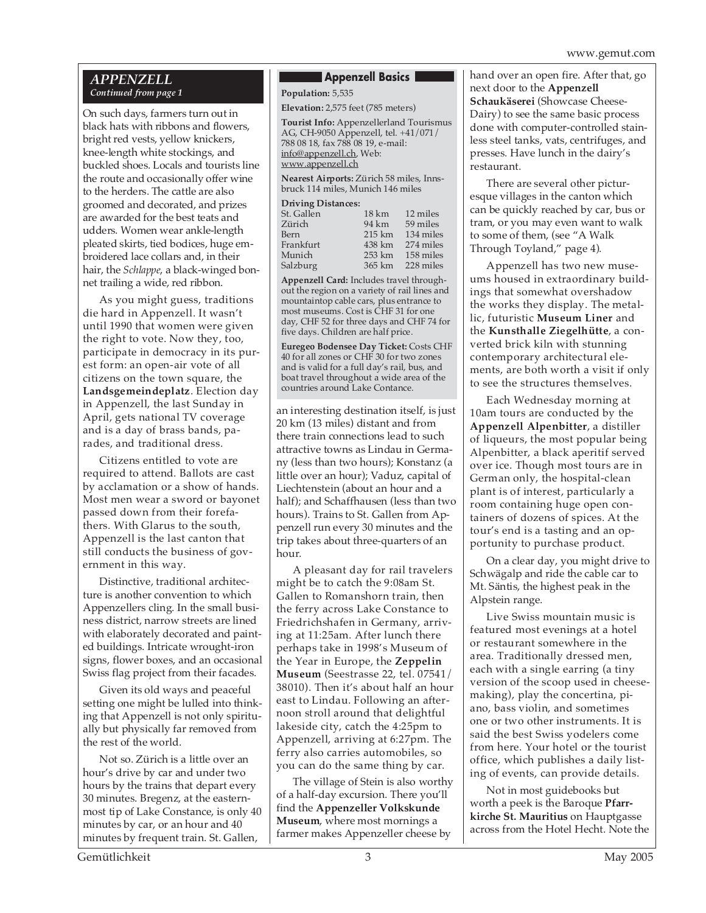#### *APPENZELL Continued from page 1*

On such days, farmers turn out in black hats with ribbons and flowers, bright red vests, yellow knickers, knee-length white stockings, and buckled shoes. Locals and tourists line the route and occasionally offer wine to the herders. The cattle are also groomed and decorated, and prizes are awarded for the best teats and udders. Women wear ankle-length pleated skirts, tied bodices, huge embroidered lace collars and, in their hair, the *Schlappe*, a black-winged bonnet trailing a wide, red ribbon.

As you might guess, traditions die hard in Appenzell. It wasn't until 1990 that women were given the right to vote. Now they, too, participate in democracy in its purest form: an open-air vote of all citizens on the town square, the **Landsgemeindeplatz**. Election day in Appenzell, the last Sunday in April, gets national TV coverage and is a day of brass bands, parades, and traditional dress.

Citizens entitled to vote are required to attend. Ballots are cast by acclamation or a show of hands. Most men wear a sword or bayonet passed down from their forefathers. With Glarus to the south, Appenzell is the last canton that still conducts the business of government in this way.

Distinctive, traditional architecture is another convention to which Appenzellers cling. In the small business district, narrow streets are lined with elaborately decorated and painted buildings. Intricate wrought-iron signs, flower boxes, and an occasional Swiss flag project from their facades.

Given its old ways and peaceful setting one might be lulled into thinking that Appenzell is not only spiritually but physically far removed from the rest of the world.

Not so. Zürich is a little over an hour's drive by car and under two hours by the trains that depart every 30 minutes. Bregenz, at the easternmost tip of Lake Constance, is only 40 minutes by car, or an hour and 40 minutes by frequent train. St. Gallen,

#### **Appenzell Basics**

**Population:** 5,535 **Elevation:** 2,575 feet (785 meters)

**Tourist Info:** Appenzellerland Tourismus AG, CH-9050 Appenzell, tel. +41/071/ 788 08 18, fax 788 08 19, e-mail: info@appenzell.ch, Web: www.appenzell.ch

**Nearest Airports:** Zürich 58 miles, Innsbruck 114 miles, Munich 146 miles

#### **Driving Distances:**

| St. Gallen | $18 \mathrm{km}$  | 12 miles  |
|------------|-------------------|-----------|
| Zürich     | 94 km             | 59 miles  |
| Bern       | $215 \mathrm{km}$ | 134 miles |
| Frankfurt  | 438 km            | 274 miles |
| Munich     | 253 km            | 158 miles |
| Salzburg   | 365 km            | 228 miles |

**Appenzell Card:** Includes travel throughout the region on a variety of rail lines and mountaintop cable cars, plus entrance to most museums. Cost is CHF 31 for one day, CHF 52 for three days and CHF 74 for five days. Children are half price.

**Euregeo Bodensee Day Ticket:** Costs CHF 40 for all zones or CHF 30 for two zones and is valid for a full day's rail, bus, and boat travel throughout a wide area of the countries around Lake Contance.

an interesting destination itself, is just 20 km (13 miles) distant and from there train connections lead to such attractive towns as Lindau in Germany (less than two hours); Konstanz (a little over an hour); Vaduz, capital of Liechtenstein (about an hour and a half); and Schaffhausen (less than two hours). Trains to St. Gallen from Appenzell run every 30 minutes and the trip takes about three-quarters of an hour.

A pleasant day for rail travelers might be to catch the 9:08am St. Gallen to Romanshorn train, then the ferry across Lake Constance to Friedrichshafen in Germany, arriving at 11:25am. After lunch there perhaps take in 1998's Museum of the Year in Europe, the **Zeppelin Museum** (Seestrasse 22, tel. 07541/ 38010). Then it's about half an hour east to Lindau. Following an afternoon stroll around that delightful lakeside city, catch the 4:25pm to Appenzell, arriving at 6:27pm. The ferry also carries automobiles, so you can do the same thing by car.

The village of Stein is also worthy of a half-day excursion. There you'll find the **Appenzeller Volkskunde Museum**, where most mornings a farmer makes Appenzeller cheese by

hand over an open fire. After that, go next door to the **Appenzell Schaukäserei** (Showcase Cheese-Dairy) to see the same basic process done with computer-controlled stainless steel tanks, vats, centrifuges, and presses. Have lunch in the dairy's restaurant.

There are several other picturesque villages in the canton which can be quickly reached by car, bus or tram, or you may even want to walk to some of them, (see "A Walk Through Toyland," page 4).

Appenzell has two new museums housed in extraordinary buildings that somewhat overshadow the works they display. The metallic, futuristic **Museum Liner** and the **Kunsthalle Ziegelhütte**, a converted brick kiln with stunning contemporary architectural elements, are both worth a visit if only to see the structures themselves.

Each Wednesday morning at 10am tours are conducted by the **Appenzell Alpenbitter**, a distiller of liqueurs, the most popular being Alpenbitter, a black aperitif served over ice. Though most tours are in German only, the hospital-clean plant is of interest, particularly a room containing huge open containers of dozens of spices. At the tour's end is a tasting and an opportunity to purchase product.

On a clear day, you might drive to Schwägalp and ride the cable car to Mt. Säntis, the highest peak in the Alpstein range.

Live Swiss mountain music is featured most evenings at a hotel or restaurant somewhere in the area. Traditionally dressed men, each with a single earring (a tiny version of the scoop used in cheesemaking), play the concertina, piano, bass violin, and sometimes one or two other instruments. It is said the best Swiss yodelers come from here. Your hotel or the tourist office, which publishes a daily listing of events, can provide details.

Not in most guidebooks but worth a peek is the Baroque **Pfarrkirche St. Mauritius** on Hauptgasse across from the Hotel Hecht. Note the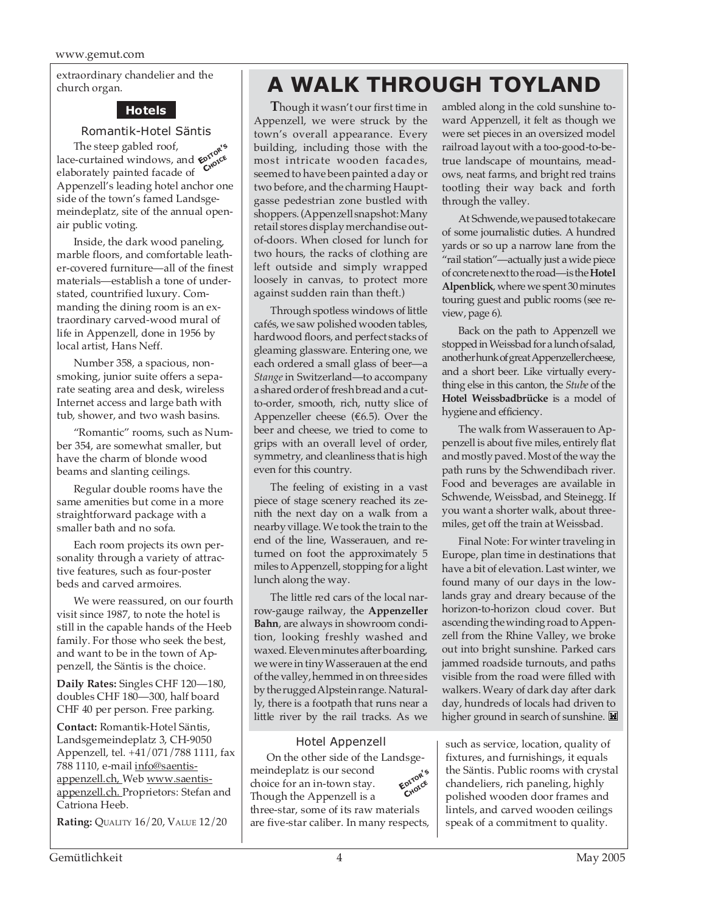extraordinary chandelier and the church organ.

#### **Hotels**

Romantik-Hotel Säntis

The steep gabled roof, Ihe steep gabled root,<br>lace-curtained windows, and  $\epsilon_{\text{CNOC}}^{\text{opto}}$ elaborately painted facade of Appenzell's leading hotel anchor one side of the town's famed Landsgemeindeplatz, site of the annual openair public voting.

Inside, the dark wood paneling, marble floors, and comfortable leather-covered furniture—all of the finest materials—establish a tone of understated, countrified luxury. Commanding the dining room is an extraordinary carved-wood mural of life in Appenzell, done in 1956 by local artist, Hans Neff.

Number 358, a spacious, nonsmoking, junior suite offers a separate seating area and desk, wireless Internet access and large bath with tub, shower, and two wash basins.

"Romantic" rooms, such as Number 354, are somewhat smaller, but have the charm of blonde wood beams and slanting ceilings.

Regular double rooms have the same amenities but come in a more straightforward package with a smaller bath and no sofa.

Each room projects its own personality through a variety of attractive features, such as four-poster beds and carved armoires.

We were reassured, on our fourth visit since 1987, to note the hotel is still in the capable hands of the Heeb family. For those who seek the best, and want to be in the town of Appenzell, the Säntis is the choice.

**Daily Rates:** Singles CHF 120—180, doubles CHF 180—300, half board CHF 40 per person. Free parking.

**Contact:** Romantik-Hotel Säntis, Landsgemeindeplatz 3, CH-9050 Appenzell, tel. +41/071/788 1111, fax 788 1110, e-mail info@saentisappenzell.ch, Web www.saentisappenzell.ch. Proprietors: Stefan and Catriona Heeb.

**Rating:** QUALITY 16/20, VALUE 12/20

## **A WALK THROUGH TOYLAND**

**T**hough it wasn't our first time in Appenzell, we were struck by the town's overall appearance. Every building, including those with the most intricate wooden facades, seemed to have been painted a day or two before, and the charming Hauptgasse pedestrian zone bustled with shoppers. (Appenzell snapshot: Many retail stores display merchandise outof-doors. When closed for lunch for two hours, the racks of clothing are left outside and simply wrapped loosely in canvas, to protect more against sudden rain than theft.)

Through spotless windows of little cafés, we saw polished wooden tables, hardwood floors, and perfect stacks of gleaming glassware. Entering one, we each ordered a small glass of beer—a *Stange* in Switzerland—to accompany a shared order of fresh bread and a cutto-order, smooth, rich, nutty slice of Appenzeller cheese ( $€6.5$ ). Over the beer and cheese, we tried to come to grips with an overall level of order, symmetry, and cleanliness that is high even for this country.

The feeling of existing in a vast piece of stage scenery reached its zenith the next day on a walk from a nearby village. We took the train to the end of the line, Wasserauen, and returned on foot the approximately 5 miles to Appenzell, stopping for a light lunch along the way.

The little red cars of the local narrow-gauge railway, the **Appenzeller Bahn**, are always in showroom condition, looking freshly washed and waxed. Eleven minutes after boarding, we were in tiny Wasserauen at the end of the valley, hemmed in on three sides by the rugged Alpstein range. Naturally, there is a footpath that runs near a little river by the rail tracks. As we

Hotel Appenzell On the other side of the Landsgemeindeplatz is our second choice for an in-town stay. Though the Appenzell is a three-star, some of its raw materials are five-star caliber. In many respects, **EDITOR'<sup>S</sup> CHOICE**

ambled along in the cold sunshine toward Appenzell, it felt as though we were set pieces in an oversized model railroad layout with a too-good-to-betrue landscape of mountains, meadows, neat farms, and bright red trains tootling their way back and forth through the valley.

At Schwende, we paused to take care of some journalistic duties. A hundred yards or so up a narrow lane from the "rail station"—actually just a wide piece of concrete next to the road—is the **Hotel Alpenblick**, where we spent 30 minutes touring guest and public rooms (see review, page 6).

Back on the path to Appenzell we stopped in Weissbad for a lunch of salad, another hunk of great Appenzeller cheese, and a short beer. Like virtually everything else in this canton, the *Stube* of the **Hotel Weissbadbrücke** is a model of hygiene and efficiency.

The walk from Wasserauen to Appenzell is about five miles, entirely flat and mostly paved. Most of the way the path runs by the Schwendibach river. Food and beverages are available in Schwende, Weissbad, and Steinegg. If you want a shorter walk, about threemiles, get off the train at Weissbad.

Final Note: For winter traveling in Europe, plan time in destinations that have a bit of elevation. Last winter, we found many of our days in the lowlands gray and dreary because of the horizon-to-horizon cloud cover. But ascending the winding road to Appenzell from the Rhine Valley, we broke out into bright sunshine. Parked cars jammed roadside turnouts, and paths visible from the road were filled with walkers. Weary of dark day after dark day, hundreds of locals had driven to higher ground in search of sunshine.

such as service, location, quality of fixtures, and furnishings, it equals the Säntis. Public rooms with crystal chandeliers, rich paneling, highly polished wooden door frames and lintels, and carved wooden ceilings speak of a commitment to quality.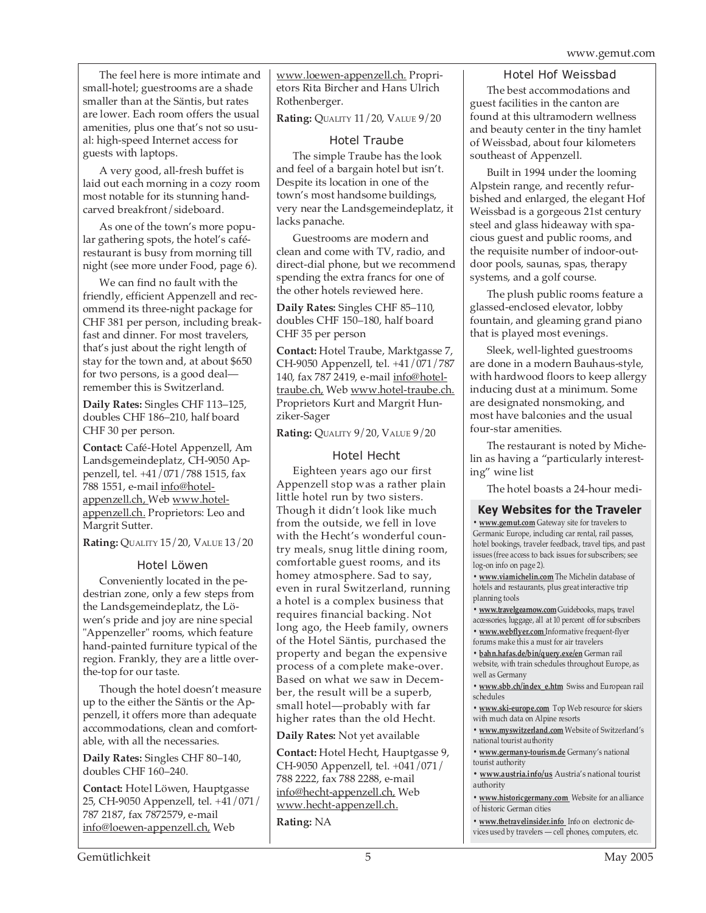The feel here is more intimate and small-hotel; guestrooms are a shade smaller than at the Säntis, but rates are lower. Each room offers the usual amenities, plus one that's not so usual: high-speed Internet access for guests with laptops.

A very good, all-fresh buffet is laid out each morning in a cozy room most notable for its stunning handcarved breakfront/sideboard.

As one of the town's more popular gathering spots, the hotel's caférestaurant is busy from morning till night (see more under Food, page 6).

We can find no fault with the friendly, efficient Appenzell and recommend its three-night package for CHF 381 per person, including breakfast and dinner. For most travelers, that's just about the right length of stay for the town and, at about \$650 for two persons, is a good deal remember this is Switzerland.

**Daily Rates:** Singles CHF 113–125, doubles CHF 186–210, half board CHF 30 per person.

**Contact:** Café-Hotel Appenzell, Am Landsgemeindeplatz, CH-9050 Appenzell, tel. +41/071/788 1515, fax 788 1551, e-mail info@hotelappenzell.ch, Web www.hotelappenzell.ch. Proprietors: Leo and Margrit Sutter.

**Rating:** QUALITY 15/20, VALUE 13/20

#### Hotel Löwen

Conveniently located in the pedestrian zone, only a few steps from the Landsgemeindeplatz, the Löwen's pride and joy are nine special "Appenzeller" rooms, which feature hand-painted furniture typical of the region. Frankly, they are a little overthe-top for our taste.

Though the hotel doesn't measure up to the either the Säntis or the Appenzell, it offers more than adequate accommodations, clean and comfortable, with all the necessaries.

**Daily Rates:** Singles CHF 80–140, doubles CHF 160–240.

**Contact:** Hotel Löwen, Hauptgasse 25, CH-9050 Appenzell, tel. +41/071/ 787 2187, fax 7872579, e-mail info@loewen-appenzell.ch, Web

www.loewen-appenzell.ch. Proprietors Rita Bircher and Hans Ulrich Rothenberger.

**Rating:** QUALITY 11/20, VALUE 9/20

#### Hotel Traube

The simple Traube has the look and feel of a bargain hotel but isn't. Despite its location in one of the town's most handsome buildings, very near the Landsgemeindeplatz, it lacks panache.

Guestrooms are modern and clean and come with TV, radio, and direct-dial phone, but we recommend spending the extra francs for one of the other hotels reviewed here.

**Daily Rates:** Singles CHF 85–110, doubles CHF 150–180, half board CHF 35 per person

**Contact:** Hotel Traube, Marktgasse 7, CH-9050 Appenzell, tel. +41/071/787 140, fax 787 2419, e-mail info@hoteltraube.ch, Web www.hotel-traube.ch. Proprietors Kurt and Margrit Hunziker-Sager

**Rating:** QUALITY 9/20, VALUE 9/20

#### Hotel Hecht

Eighteen years ago our first Appenzell stop was a rather plain little hotel run by two sisters. Though it didn't look like much from the outside, we fell in love with the Hecht's wonderful country meals, snug little dining room, comfortable guest rooms, and its homey atmosphere. Sad to say, even in rural Switzerland, running a hotel is a complex business that requires financial backing. Not long ago, the Heeb family, owners of the Hotel Säntis, purchased the property and began the expensive process of a complete make-over. Based on what we saw in December, the result will be a superb, small hotel—probably with far higher rates than the old Hecht.

**Daily Rates:** Not yet available

**Contact:** Hotel Hecht, Hauptgasse 9, CH-9050 Appenzell, tel. +041/071/ 788 2222, fax 788 2288, e-mail info@hecht-appenzell.ch, Web www.hecht-appenzell.ch.

**Rating:** NA

#### Hotel Hof Weissbad

The best accommodations and guest facilities in the canton are found at this ultramodern wellness and beauty center in the tiny hamlet of Weissbad, about four kilometers southeast of Appenzell.

Built in 1994 under the looming Alpstein range, and recently refurbished and enlarged, the elegant Hof Weissbad is a gorgeous 21st century steel and glass hideaway with spacious guest and public rooms, and the requisite number of indoor-outdoor pools, saunas, spas, therapy systems, and a golf course.

The plush public rooms feature a glassed-enclosed elevator, lobby fountain, and gleaming grand piano that is played most evenings.

Sleek, well-lighted guestrooms are done in a modern Bauhaus-style, with hardwood floors to keep allergy inducing dust at a minimum. Some are designated nonsmoking, and most have balconies and the usual four-star amenities.

The restaurant is noted by Michelin as having a "particularly interesting" wine list

The hotel boasts a 24-hour medi-

#### **Key Websites for the Traveler**

**• www.gemut.com** Gateway site for travelers to Germanic Europe, including car rental, rail passes, hotel bookings, traveler feedback, travel tips, and past issues (free access to back issues for subscribers; see log-on info on page 2).

**• www.viamichelin.com** The Michelin database of hotels and restaurants, plus great interactive trip planning tools

**• www.travelgearnow.com** Guidebooks, maps, travel accessories, luggage, all at 10 percent off for subscribers

**• www.webflyer.com** Informative frequent-flyer forums make this a must for air travelers

**• bahn.hafas.de/bin/query.exe/en** German rail website, with train schedules throughout Europe, as well as Germany

**• www.sbb.ch/index\_e.htm** Swiss and European rail schedules

**• www.ski-europe.com** Top Web resource for skiers with much data on Alpine resorts

**• www.myswitzerland.com** Website of Switzerland's national tourist authority

**• www.germany-tourism.de** Germany's national tourist authority

**• www.austria.info/us** Austria's national tourist authority

**• www.historicgermany.com** Website for an alliance of historic German cities

**• www.thetravelinsider.info** Info on electronic devices used by travelers — cell phones, computers, etc.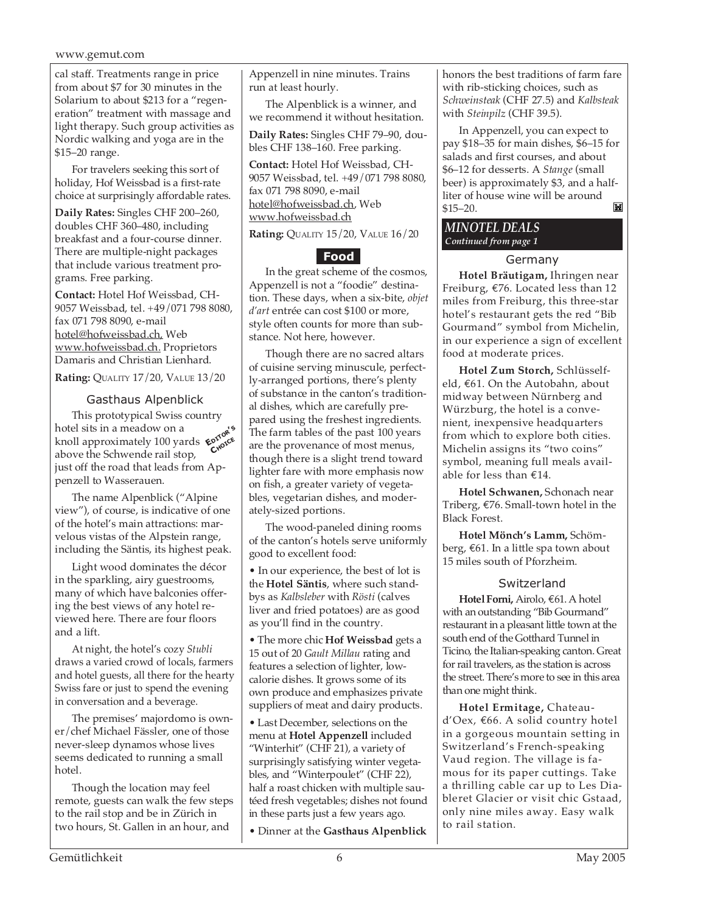#### www.gemut.com

cal staff. Treatments range in price from about \$7 for 30 minutes in the Solarium to about \$213 for a "regeneration" treatment with massage and light therapy. Such group activities as Nordic walking and yoga are in the \$15–20 range.

For travelers seeking this sort of holiday, Hof Weissbad is a first-rate choice at surprisingly affordable rates.

**Daily Rates:** Singles CHF 200–260, doubles CHF 360–480, including breakfast and a four-course dinner. There are multiple-night packages that include various treatment programs. Free parking.

**Contact:** Hotel Hof Weissbad, CH-9057 Weissbad, tel. +49/071 798 8080, fax 071 798 8090, e-mail hotel@hofweissbad.ch, Web www.hofweissbad.ch. Proprietors Damaris and Christian Lienhard.

**Rating:** QUALITY 17/20, VALUE 13/20

#### Gasthaus Alpenblick

This prototypical Swiss country hotel sits in a meadow on a hotel sits in a meadow on a<br>knoll approximately 100 yards  $\epsilon^{0.00}$ <br>chove the Schwende rail stop above the Schwende rail stop, just off the road that leads from Appenzell to Wasserauen.

The name Alpenblick ("Alpine view"), of course, is indicative of one of the hotel's main attractions: marvelous vistas of the Alpstein range, including the Säntis, its highest peak.

Light wood dominates the décor in the sparkling, airy guestrooms, many of which have balconies offering the best views of any hotel reviewed here. There are four floors and a lift.

At night, the hotel's cozy *Stubli* draws a varied crowd of locals, farmers and hotel guests, all there for the hearty Swiss fare or just to spend the evening in conversation and a beverage.

The premises' majordomo is owner/chef Michael Fässler, one of those never-sleep dynamos whose lives seems dedicated to running a small hotel.

Though the location may feel remote, guests can walk the few steps to the rail stop and be in Zürich in two hours, St. Gallen in an hour, and

Appenzell in nine minutes. Trains run at least hourly.

The Alpenblick is a winner, and we recommend it without hesitation.

**Daily Rates:** Singles CHF 79–90, doubles CHF 138–160. Free parking.

**Contact:** Hotel Hof Weissbad, CH-9057 Weissbad, tel. +49/071 798 8080, fax 071 798 8090, e-mail hotel@hofweissbad.ch, Web www.hofweissbad.ch

**Rating:** QUALITY 15/20, VALUE 16/20

#### **Food**

In the great scheme of the cosmos, Appenzell is not a "foodie" destination. These days, when a six-bite, *objet d'art* entrée can cost \$100 or more, style often counts for more than substance. Not here, however.

Though there are no sacred altars of cuisine serving minuscule, perfectly-arranged portions, there's plenty of substance in the canton's traditional dishes, which are carefully prepared using the freshest ingredients. The farm tables of the past 100 years are the provenance of most menus, though there is a slight trend toward lighter fare with more emphasis now on fish, a greater variety of vegetables, vegetarian dishes, and moderately-sized portions.

The wood-paneled dining rooms of the canton's hotels serve uniformly good to excellent food:

• In our experience, the best of lot is the **Hotel Säntis**, where such standbys as *Kalbsleber* with *Rösti* (calves liver and fried potatoes) are as good as you'll find in the country.

• The more chic **Hof Weissbad** gets a 15 out of 20 *Gault Millau* rating and features a selection of lighter, lowcalorie dishes. It grows some of its own produce and emphasizes private suppliers of meat and dairy products.

• Last December, selections on the menu at **Hotel Appenzell** included "Winterhit" (CHF 21), a variety of surprisingly satisfying winter vegetables, and "Winterpoulet" (CHF 22), half a roast chicken with multiple sautéed fresh vegetables; dishes not found in these parts just a few years ago.

• Dinner at the **Gasthaus Alpenblick**

honors the best traditions of farm fare with rib-sticking choices, such as *Schweinsteak* (CHF 27.5) and *Kalbsteak* with *Steinpilz* (CHF 39.5).

In Appenzell, you can expect to pay \$18–35 for main dishes, \$6–15 for salads and first courses, and about \$6–12 for desserts. A *Stange* (small beer) is approximately \$3, and a halfliter of house wine will be around \$15–20. M

#### *MINOTEL DEALS Continued from page 1*

#### Germany

**Hotel Bräutigam,** Ihringen near Freiburg, €76. Located less than 12 miles from Freiburg, this three-star hotel's restaurant gets the red "Bib Gourmand" symbol from Michelin, in our experience a sign of excellent food at moderate prices.

**Hotel Zum Storch,** Schlüsselfeld, €61. On the Autobahn, about midway between Nürnberg and Würzburg, the hotel is a convenient, inexpensive headquarters from which to explore both cities. Michelin assigns its "two coins" symbol, meaning full meals available for less than €14.

**Hotel Schwanen,** Schonach near Triberg, €76. Small-town hotel in the Black Forest.

**Hotel Mönch's Lamm,** Schömberg, €61. In a little spa town about 15 miles south of Pforzheim.

#### Switzerland

**Hotel Forni,** Airolo, €61. A hotel with an outstanding "Bib Gourmand" restaurant in a pleasant little town at the south end of the Gotthard Tunnel in Ticino, the Italian-speaking canton. Great for rail travelers, as the station is across the street. There's more to see in this area than one might think.

**Hotel Ermitage,** Chateaud'Oex, €66. A solid country hotel in a gorgeous mountain setting in Switzerland's French-speaking Vaud region. The village is famous for its paper cuttings. Take a thrilling cable car up to Les Diableret Glacier or visit chic Gstaad, only nine miles away. Easy walk to rail station.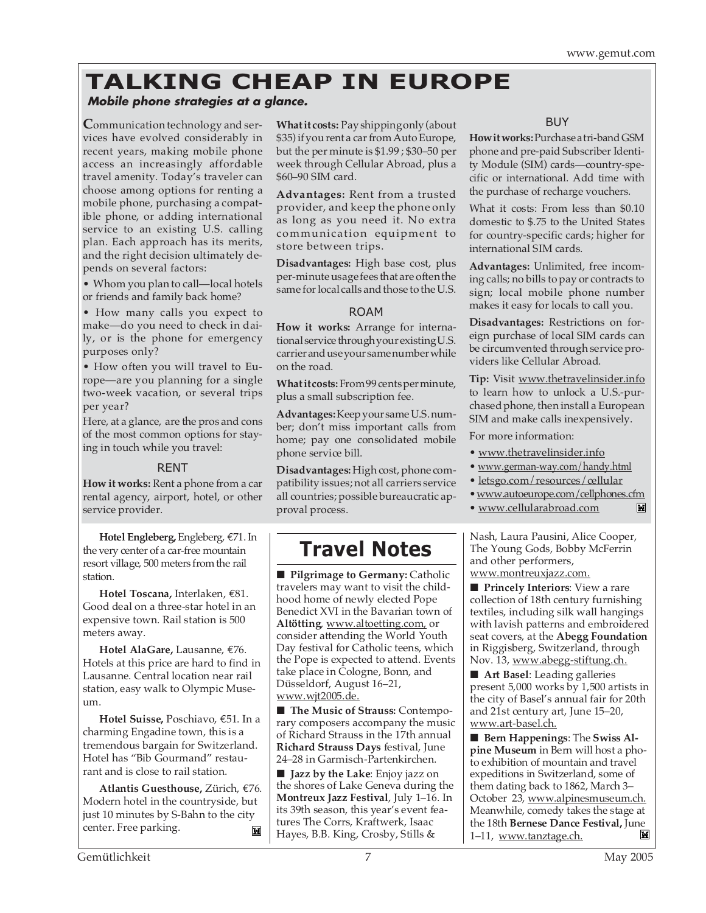### **TALKING CHEAP IN EUROPE**

### **Mobile phone strategies at a glance.**

**C**ommunication technology and services have evolved considerably in recent years, making mobile phone access an increasingly affordable travel amenity. Today's traveler can choose among options for renting a mobile phone, purchasing a compatible phone, or adding international service to an existing U.S. calling plan. Each approach has its merits, and the right decision ultimately depends on several factors:

• Whom you plan to call—local hotels or friends and family back home?

• How many calls you expect to make—do you need to check in daily, or is the phone for emergency purposes only?

• How often you will travel to Europe—are you planning for a single two-week vacation, or several trips per year?

Here, at a glance, are the pros and cons of the most common options for staying in touch while you travel:

#### RENT

**How it works:** Rent a phone from a car rental agency, airport, hotel, or other service provider.

**Hotel Engleberg,** Engleberg, €71. In the very center of a car-free mountain resort village, 500 meters from the rail station.

**Hotel Toscana,** Interlaken, €81. Good deal on a three-star hotel in an expensive town. Rail station is 500 meters away.

**Hotel AlaGare,** Lausanne, €76. Hotels at this price are hard to find in Lausanne. Central location near rail station, easy walk to Olympic Museum.

**Hotel Suisse,** Poschiavo, €51. In a charming Engadine town, this is a tremendous bargain for Switzerland. Hotel has "Bib Gourmand" restaurant and is close to rail station.

**Atlantis Guesthouse,** Zürich, €76. Modern hotel in the countryside, but just 10 minutes by S-Bahn to the city center. Free parking. 岡

**What it costs:** Pay shipping only (about \$35) if you rent a car from Auto Europe, but the per minute is \$1.99 ; \$30–50 per week through Cellular Abroad, plus a \$60–90 SIM card.

**Advantages:** Rent from a trusted provider, and keep the phone only as long as you need it. No extra communication equipment to store between trips.

**Disadvantages:** High base cost, plus per-minute usage fees that are often the same for local calls and those to the U.S.

#### ROAM

**How it works:** Arrange for international service through your existing U.S. carrier and use your same number while on the road.

**What it costs:** From 99 cents per minute, plus a small subscription fee.

**Advantages:** Keep your same U.S. number; don't miss important calls from home; pay one consolidated mobile phone service bill.

**Disadvantages:** High cost, phone compatibility issues; not all carriers service all countries; possible bureaucratic approval process.

### **Travel Notes**

■ **Pilgrimage to Germany:** Catholic travelers may want to visit the childhood home of newly elected Pope Benedict XVI in the Bavarian town of **Altötting**, www.altoetting.com, or consider attending the World Youth Day festival for Catholic teens, which the Pope is expected to attend. Events take place in Cologne, Bonn, and Düsseldorf, August 16–21, www.wjt2005.de.

■ **The Music of Strauss: Contempo**rary composers accompany the music of Richard Strauss in the 17th annual **Richard Strauss Days** festival, June 24–28 in Garmisch-Partenkirchen.

■ **Jazz by the Lake**: Enjoy jazz on the shores of Lake Geneva during the **Montreux Jazz Festival**, July 1–16. In its 39th season, this year's event features The Corrs, Kraftwerk, Isaac Hayes, B.B. King, Crosby, Stills &

#### BUY

**How it works:** Purchase a tri-band GSM phone and pre-paid Subscriber Identity Module (SIM) cards—country-specific or international. Add time with the purchase of recharge vouchers.

What it costs: From less than \$0.10 domestic to \$.75 to the United States for country-specific cards; higher for international SIM cards.

**Advantages:** Unlimited, free incoming calls; no bills to pay or contracts to sign; local mobile phone number makes it easy for locals to call you.

**Disadvantages:** Restrictions on foreign purchase of local SIM cards can be circumvented through service providers like Cellular Abroad.

**Tip:** Visit www.thetravelinsider.info to learn how to unlock a U.S.-purchased phone, then install a European SIM and make calls inexpensively.

For more information:

- www.thetravelinsider.info
- www.german-way.com/handy.html
- letsgo.com/resources/cellular
- www.autoeurope.com/cellphones.cfm
- www.cellularabroad.com  $\mathbb{M}$

Nash, Laura Pausini, Alice Cooper, The Young Gods, Bobby McFerrin and other performers, www.montreuxjazz.com.

■ **Princely Interiors**: View a rare collection of 18th century furnishing textiles, including silk wall hangings with lavish patterns and embroidered seat covers, at the **Abegg Foundation** in Riggisberg, Switzerland, through Nov. 13, www.abegg-stiftung.ch.

■ **Art Basel**: Leading galleries present 5,000 works by 1,500 artists in the city of Basel's annual fair for 20th and 21st century art, June 15–20, www.art-basel.ch.

■ **Bern Happenings**: The **Swiss Alpine Museum** in Bern will host a photo exhibition of mountain and travel expeditions in Switzerland, some of them dating back to 1862, March 3– October 23, www.alpinesmuseum.ch. Meanwhile, comedy takes the stage at the 18th **Bernese Dance Festival,** June 1–11, www.tanztage.ch. ľШ